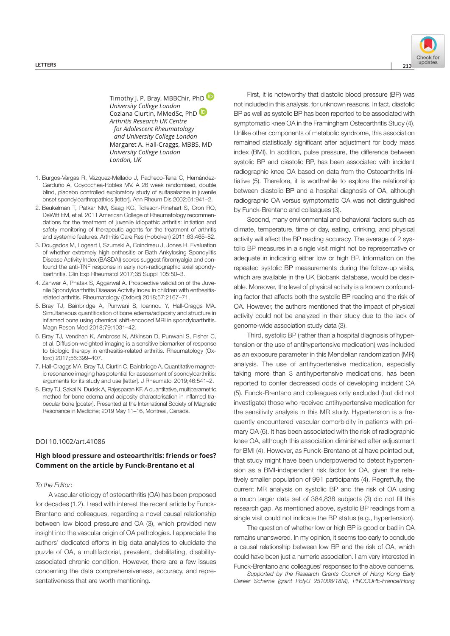

Timothy I. P. Bray, MBBChir, PhD $\blacksquare$ *University College London* Coziana Ciurtin, MMedSc, PhD *Arthritis Research UK Centre for Adolescent Rheumatology and University College London* Margaret A. Hall-Craggs, MBBS, MD *University College London London, UK*

- 1. Burgos-Vargas R, Vázquez-Mellado J, Pacheco-Tena C, Hernández-Garduño A, Goycochea-Robles MV. A 26 week randomised, double blind, placebo controlled exploratory study of sulfasalazine in juvenile onset spondyloarthropathies [letter]. Ann Rheum Dis 2002;61:941–2.
- 2. Beukelman T, Patkar NM, Saag KG, Tolleson-Rinehart S, Cron RQ, DeWitt EM, et al. 2011 American College of Rheumatology recommendations for the treatment of juvenile idiopathic arthritis: initiation and safety monitoring of therapeutic agents for the treatment of arthritis and systemic features. Arthritis Care Res (Hoboken) 2011;63:465–82.
- 3. Dougados M, Logeart I, Szumski A, Coindreau J, Jones H. Evaluation of whether extremely high enthesitis or Bath Ankylosing Spondylitis Disease Activity Index (BASDAI) scores suggest fibromyalgia and confound the anti-TNF response in early non-radiographic axial spondyloarthritis. Clin Exp Rheumatol 2017;35 Suppl 105:50–3.
- 4. Zanwar A, Phatak S, Aggarwal A. Prospective validation of the Juvenile Spondyloarthritis Disease Activity Index in children with enthesitisrelated arthritis. Rheumatology (Oxford) 2018;57:2167–71.
- 5. Bray TJ, Bainbridge A, Punwani S, Ioannou Y, Hall-Craggs MA. Simultaneous quantification of bone edema/adiposity and structure in inflamed bone using chemical shift-encoded MRI in spondyloarthritis. Magn Reson Med 2018;79:1031–42.
- 6. Bray TJ, Vendhan K, Ambrose N, Atkinson D, Punwani S, Fisher C, et al. Diffusion-weighted imaging is a sensitive biomarker of response to biologic therapy in enthesitis-related arthritis. Rheumatology (Oxford) 2017;56:399–407.
- 7. Hall-Craggs MA, Bray TJ, Ciurtin C, Bainbridge A. Quantitative magnetic resonance imaging has potential for assessment of spondyloarthritis: arguments for its study and use [letter]. J Rheumatol 2019;46:541–2.
- 8. Bray TJ, Sakai N, Dudek A, Rajesparan KF. A quantitative, multiparametric method for bone edema and adiposity characterisation in inflamed trabecular bone [poster]. Presented at the International Society of Magnetic Resonance in Medicine; 2019 May 11–16, Montreal, Canada.

## DOI 10.1002/art.41086

## **High blood pressure and osteoarthritis: friends or foes? Comment on the article by Funck- Brentano et al**

## *To the Editor*:

A vascular etiology of osteoarthritis (OA) has been proposed for decades (1,2). I read with interest the recent article by Funck-Brentano and colleagues, regarding a novel causal relationship between low blood pressure and OA (3), which provided new insight into the vascular origin of OA pathologies. I appreciate the authors' dedicated efforts in big data analytics to elucidate the puzzle of OA, a multifactorial, prevalent, debilitating, disabilityassociated chronic condition. However, there are a few issues concerning the data comprehensiveness, accuracy, and representativeness that are worth mentioning.

First, it is noteworthy that diastolic blood pressure (BP) was not included in this analysis, for unknown reasons. In fact, diastolic BP as well as systolic BP has been reported to be associated with symptomatic knee OA in the Framingham Osteoarthritis Study (4). Unlike other components of metabolic syndrome, this association remained statistically significant after adjustment for body mass index (BMI). In addition, pulse pressure, the difference between systolic BP and diastolic BP, has been associated with incident radiographic knee OA based on data from the Osteoarthritis Initiative (5). Therefore, it is worthwhile to explore the relationship between diastolic BP and a hospital diagnosis of OA, although radiographic OA versus symptomatic OA was not distinguished by Funck-Brentano and colleagues (3).

Second, many environmental and behavioral factors such as climate, temperature, time of day, eating, drinking, and physical activity will affect the BP reading accuracy. The average of 2 systolic BP measures in a single visit might not be representative or adequate in indicating either low or high BP. Information on the repeated systolic BP measurements during the follow-up visits, which are available in the UK Biobank database, would be desirable. Moreover, the level of physical activity is a known confounding factor that affects both the systolic BP reading and the risk of OA. However, the authors mentioned that the impact of physical activity could not be analyzed in their study due to the lack of genome-wide association study data (3).

Third, systolic BP (rather than a hospital diagnosis of hypertension or the use of antihypertensive medication) was included as an exposure parameter in this Mendelian randomization (MR) analysis. The use of antihypertensive medication, especially taking more than 3 antihypertensive medications, has been reported to confer decreased odds of developing incident OA (5). Funck-Brentano and colleagues only excluded (but did not investigate) those who received antihypertensive medication for the sensitivity analysis in this MR study. Hypertension is a frequently encountered vascular comorbidity in patients with primary OA (6). It has been associated with the risk of radiographic knee OA, although this association diminished after adjustment for BMI (4). However, as Funck-Brentano et al have pointed out, that study might have been underpowered to detect hypertension as a BMI-independent risk factor for OA, given the relatively smaller population of 991 participants (4). Regretfully, the current MR analysis on systolic BP and the risk of OA using a much larger data set of 384,838 subjects (3) did not fill this research gap. As mentioned above, systolic BP readings from a single visit could not indicate the BP status (e.g., hypertension).

The question of whether low or high BP is good or bad in OA remains unanswered. In my opinion, it seems too early to conclude a causal relationship between low BP and the risk of OA, which could have been just a numeric association. I am very interested in Funck-Brentano and colleagues' responses to the above concerns.

*Supported by the Research Grants Council of Hong Kong Early Career Scheme (grant PolyU 251008/18M), PROCORE-France/Hong*